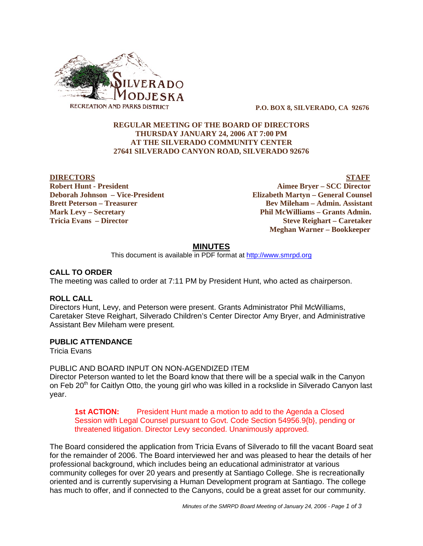

 **P.O. BOX 8, SILVERADO, CA 92676**

## **REGULAR MEETING OF THE BOARD OF DIRECTORS THURSDAY JANUARY 24, 2006 AT 7:00 PM AT THE SILVERADO COMMUNITY CENTER 27641 SILVERADO CANYON ROAD, SILVERADO 92676**

**DIRECTORS** STAFF **Robert Hunt - President Aimee Bryer – SCC Director Deborah Johnson – Vice-President Elizabeth Martyn – General Counsel Brett Peterson – Treasurer States and Bev Mileham – Admin. Assistant Mark Levy – Secretary Phil McWilliams – Grants Admin. Tricia Evans – Director Steve Reighart – Caretaker Meghan Warner – Bookkeeper**

## **MINUTES**

This document is available in PDF format at http://www.smrpd.org

#### **CALL TO ORDER**

The meeting was called to order at 7:11 PM by President Hunt, who acted as chairperson.

#### **ROLL CALL**

Directors Hunt, Levy, and Peterson were present. Grants Administrator Phil McWilliams, Caretaker Steve Reighart, Silverado Children's Center Director Amy Bryer, and Administrative Assistant Bev Mileham were present.

#### **PUBLIC ATTENDANCE**

Tricia Evans

## PUBLIC AND BOARD INPUT ON NON-AGENDIZED ITEM

Director Peterson wanted to let the Board know that there will be a special walk in the Canyon on Feb 20<sup>th</sup> for Caitlyn Otto, the young girl who was killed in a rockslide in Silverado Canyon last year.

**1st ACTION:** President Hunt made a motion to add to the Agenda a Closed Session with Legal Counsel pursuant to Govt. Code Section 54956.9{b}, pending or threatened litigation. Director Levy seconded. Unanimously approved.

The Board considered the application from Tricia Evans of Silverado to fill the vacant Board seat for the remainder of 2006. The Board interviewed her and was pleased to hear the details of her professional background, which includes being an educational administrator at various community colleges for over 20 years and presently at Santiago College. She is recreationally oriented and is currently supervising a Human Development program at Santiago. The college has much to offer, and if connected to the Canyons, could be a great asset for our community.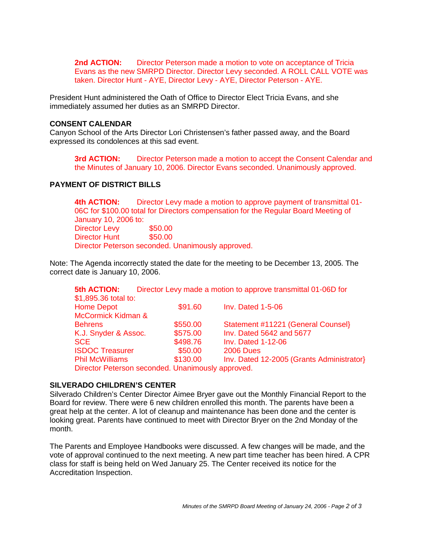**2nd ACTION:** Director Peterson made a motion to vote on acceptance of Tricia Evans as the new SMRPD Director. Director Levy seconded. A ROLL CALL VOTE was taken. Director Hunt - AYE, Director Levy - AYE, Director Peterson - AYE.

President Hunt administered the Oath of Office to Director Elect Tricia Evans, and she immediately assumed her duties as an SMRPD Director.

#### **CONSENT CALENDAR**

Canyon School of the Arts Director Lori Christensen's father passed away, and the Board expressed its condolences at this sad event.

**3rd ACTION:** Director Peterson made a motion to accept the Consent Calendar and the Minutes of January 10, 2006. Director Evans seconded. Unanimously approved.

## **PAYMENT OF DISTRICT BILLS**

**4th ACTION:** Director Levy made a motion to approve payment of transmittal 01- 06C for \$100.00 total for Directors compensation for the Regular Board Meeting of January 10, 2006 to: Director Levy \$50.00 Director Hunt \$50.00 Director Peterson seconded. Unanimously approved.

Note: The Agenda incorrectly stated the date for the meeting to be December 13, 2005. The correct date is January 10, 2006.

| <b>5th ACTION:</b>                                |          | Director Levy made a motion to approve transmittal 01-06D for |
|---------------------------------------------------|----------|---------------------------------------------------------------|
| \$1,895.36 total to:                              |          |                                                               |
| <b>Home Depot</b>                                 | \$91.60  | <b>Inv. Dated 1-5-06</b>                                      |
| McCormick Kidman &                                |          |                                                               |
| <b>Behrens</b>                                    | \$550.00 | Statement #11221 (General Counsel)                            |
| K.J. Snyder & Assoc.                              | \$575.00 | Inv. Dated 5642 and 5677                                      |
| <b>SCE</b>                                        | \$498.76 | <b>Inv. Dated 1-12-06</b>                                     |
| <b>ISDOC Treasurer</b>                            | \$50.00  | <b>2006 Dues</b>                                              |
| <b>Phil McWilliams</b>                            | \$130.00 | Inv. Dated 12-2005 (Grants Administrator)                     |
| Director Peterson seconded. Unanimously approved. |          |                                                               |

#### **SILVERADO CHILDREN'S CENTER**

Silverado Children's Center Director Aimee Bryer gave out the Monthly Financial Report to the Board for review. There were 6 new children enrolled this month. The parents have been a great help at the center. A lot of cleanup and maintenance has been done and the center is looking great. Parents have continued to meet with Director Bryer on the 2nd Monday of the month.

The Parents and Employee Handbooks were discussed. A few changes will be made, and the vote of approval continued to the next meeting. A new part time teacher has been hired. A CPR class for staff is being held on Wed January 25. The Center received its notice for the Accreditation Inspection.